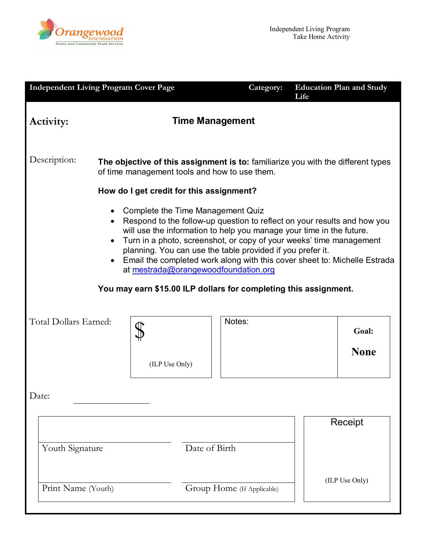

|                                                                                                                                                                                                                                                                                                                                                                                                                                                                                                                                                                                                | <b>Independent Living Program Cover Page</b>                                                                                      |                            | Category: | Life | <b>Education Plan and Study</b> |  |  |
|------------------------------------------------------------------------------------------------------------------------------------------------------------------------------------------------------------------------------------------------------------------------------------------------------------------------------------------------------------------------------------------------------------------------------------------------------------------------------------------------------------------------------------------------------------------------------------------------|-----------------------------------------------------------------------------------------------------------------------------------|----------------------------|-----------|------|---------------------------------|--|--|
| <b>Time Management</b><br>Activity:                                                                                                                                                                                                                                                                                                                                                                                                                                                                                                                                                            |                                                                                                                                   |                            |           |      |                                 |  |  |
| Description:                                                                                                                                                                                                                                                                                                                                                                                                                                                                                                                                                                                   | The objective of this assignment is to: familiarize you with the different types<br>of time management tools and how to use them. |                            |           |      |                                 |  |  |
| How do I get credit for this assignment?<br>Complete the Time Management Quiz<br>٠<br>Respond to the follow-up question to reflect on your results and how you<br>$\bullet$<br>will use the information to help you manage your time in the future.<br>Turn in a photo, screenshot, or copy of your weeks' time management<br>$\bullet$<br>planning. You can use the table provided if you prefer it.<br>Email the completed work along with this cover sheet to: Michelle Estrada<br>at mestrada@orangewoodfoundation.org<br>You may earn \$15.00 ILP dollars for completing this assignment. |                                                                                                                                   |                            |           |      |                                 |  |  |
| Total Dollars Earned:                                                                                                                                                                                                                                                                                                                                                                                                                                                                                                                                                                          | (ILP Use Only)                                                                                                                    | Notes:                     |           |      | Goal:<br><b>None</b>            |  |  |
| Date:                                                                                                                                                                                                                                                                                                                                                                                                                                                                                                                                                                                          |                                                                                                                                   |                            |           |      |                                 |  |  |
| Youth Signature                                                                                                                                                                                                                                                                                                                                                                                                                                                                                                                                                                                |                                                                                                                                   | Date of Birth              |           |      | Receipt                         |  |  |
| Print Name (Youth)                                                                                                                                                                                                                                                                                                                                                                                                                                                                                                                                                                             |                                                                                                                                   | Group Home (If Applicable) |           |      | (ILP Use Only)                  |  |  |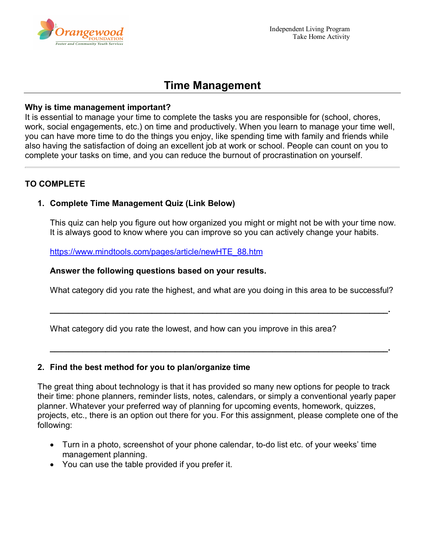

# **Time Management**

#### **Why is time management important?**

It is essential to manage your time to complete the tasks you are responsible for (school, chores, work, social engagements, etc.) on time and productively. When you learn to manage your time well, you can have more time to do the things you enjoy, like spending time with family and friends while also having the satisfaction of doing an excellent job at work or school. People can count on you to complete your tasks on time, and you can reduce the burnout of procrastination on yourself.

## **TO COMPLETE**

## **1. Complete Time Management Quiz (Link Below)**

This quiz can help you figure out how organized you might or might not be with your time now. It is always good to know where you can improve so you can actively change your habits.

[https://www.mindtools.com/pages/article/newHTE\\_88.htm](https://www.mindtools.com/pages/article/newHTE_88.htm)

#### **Answer the following questions based on your results.**

What category did you rate the highest, and what are you doing in this area to be successful?

**\_\_\_\_\_\_\_\_\_\_\_\_\_\_\_\_\_\_\_\_\_\_\_\_\_\_\_\_\_\_\_\_\_\_\_\_\_\_\_\_\_\_\_\_\_\_\_\_\_\_\_\_\_\_\_\_\_\_\_\_\_\_\_\_\_\_\_\_\_\_\_\_\_.**

**\_\_\_\_\_\_\_\_\_\_\_\_\_\_\_\_\_\_\_\_\_\_\_\_\_\_\_\_\_\_\_\_\_\_\_\_\_\_\_\_\_\_\_\_\_\_\_\_\_\_\_\_\_\_\_\_\_\_\_\_\_\_\_\_\_\_\_\_\_\_\_\_\_.**

What category did you rate the lowest, and how can you improve in this area?

#### **2. Find the best method for you to plan/organize time**

The great thing about technology is that it has provided so many new options for people to track their time: phone planners, reminder lists, notes, calendars, or simply a conventional yearly paper planner. Whatever your preferred way of planning for upcoming events, homework, quizzes, projects, etc., there is an option out there for you. For this assignment, please complete one of the following:

- Turn in a photo, screenshot of your phone calendar, to-do list etc. of your weeks' time management planning.
- You can use the table provided if you prefer it.